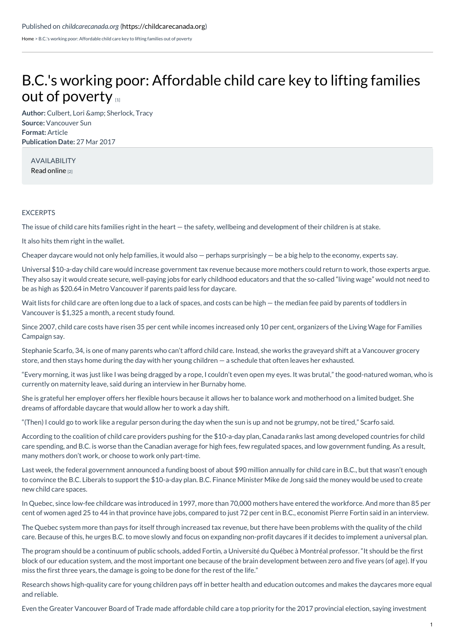[Home](https://childcarecanada.org/) > B.C.'s working poor: Affordable child care key to lifting families out of poverty

## B.C.'s working poor: [Affordable](https://childcarecanada.org/documents/child-care-news/17/03/bcs-working-poor-affordable-child-care-key-lifting-families-out) child care key to lifting families out of poverty [1]

Author: Culbert, Lori & amp; Sherlock, Tracy **Source:** Vancouver Sun **Format:** Article **Publication Date:** 27 Mar 2017

AVAILABILITY Read [online](https://vancouversun.com/news/local-news/b-c-s-working-poor-affordable-child-care-key-to-lifting-families-out-of-poverty) [2]

## EXCERPTS

The issue of child care hits families right in the heart — the safety, wellbeing and development of their children is at stake.

It also hits them right in the wallet.

Cheaper daycare would not only help families, it would also  $-$  perhaps surprisingly  $-$  be a big help to the economy, experts say.

Universal \$10-a-day child care would increase government tax revenue because more mothers could return to work, those experts argue. They also say it would create secure, well-paying jobs for early childhood educators and that the so-called "living wage" would not need to be as high as \$20.64 in Metro Vancouver if parents paid less for daycare.

Wait lists for child care are often long due to a lack of spaces, and costs can be high — the median fee paid by parents of toddlers in Vancouver is \$1,325 a month, a recent study found.

Since 2007, child care costs have risen 35 per cent while incomes increased only 10 per cent, organizers of the Living Wage for Families Campaign say.

Stephanie Scarfo, 34, is one of many parents who can't afford child care. Instead, she works the graveyard shift at a Vancouver grocery store, and then stays home during the day with her young children — a schedule that often leaves her exhausted.

"Every morning, it was just like I was being dragged by a rope, I couldn't even open my eyes. It was brutal," the good-natured woman, who is currently on maternity leave, said during an interview in her Burnaby home.

She is grateful her employer offers her flexible hours because it allows her to balance work and motherhood on a limited budget. She dreams of affordable daycare that would allow her to work a day shift.

"(Then) I could go to work like a regular person during the day when the sun is up and not be grumpy, not be tired," Scarfo said.

According to the coalition of child care providers pushing for the \$10-a-day plan, Canada ranks last among developed countries for child care spending, and B.C. is worse than the Canadian average for high fees, few regulated spaces, and low government funding. As a result, many mothers don't work, or choose to work only part-time.

Last week, the federal government announced a funding boost of about \$90 million annually for child care in B.C., but that wasn't enough to convince the B.C. Liberals to support the \$10-a-day plan. B.C. Finance Minister Mike de Jong said the money would be used to create new child care spaces.

In Quebec, since low-fee childcare was introduced in 1997, more than 70,000 mothers have entered the workforce. And more than 85 per cent of women aged 25 to 44 in that province have jobs, compared to just 72 per cent in B.C., economist Pierre Fortin said in an interview.

The Quebec system more than pays for itself through increased tax revenue, but there have been problems with the quality of the child care. Because of this, he urges B.C. to move slowly and focus on expanding non-profit daycares if it decides to implement a universal plan.

The program should be a continuum of public schools, added Fortin, a Université du Québec à Montréal professor. "It should be the first block of our education system, and the most important one because of the brain development between zero and five years (of age). If you miss the first three years, the damage is going to be done for the rest of the life."

Research shows high-quality care for young children pays off in better health and education outcomes and makes the daycares more equal and reliable.

Even the Greater Vancouver Board of Trade made affordable child care a top priority for the 2017 provincial election, saying investment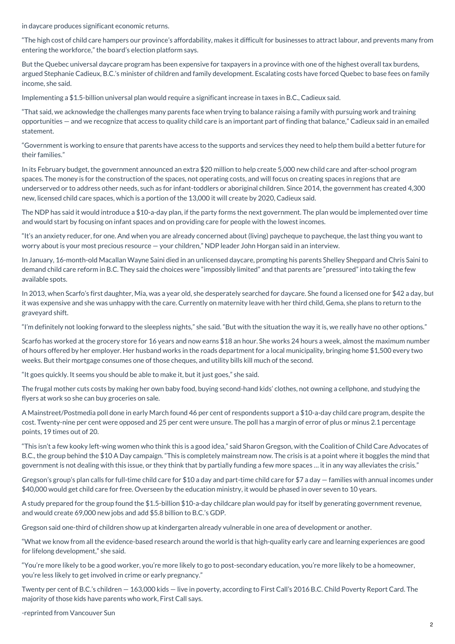in daycare produces significant economic returns.

"The high cost of child care hampers our province's affordability, makes it difficult for businesses to attract labour, and prevents many from entering the workforce," the board's election platform says.

But the Quebec universal daycare program has been expensive for taxpayers in a province with one of the highest overall tax burdens, argued Stephanie Cadieux, B.C.'s minister of children and family development. Escalating costs have forced Quebec to base fees on family income, she said.

Implementing a \$1.5-billion universal plan would require a significant increase in taxes in B.C., Cadieux said.

"That said, we acknowledge the challenges many parents face when trying to balance raising a family with pursuing work and training opportunities — and we recognize that access to quality child care is an important part of finding that balance," Cadieux said in an emailed statement.

"Government is working to ensure that parents have access to the supports and services they need to help them build a better future for their families."

In its February budget, the government announced an extra \$20 million to help create 5,000 new child care and after-school program spaces. The money is for the construction of the spaces, not operating costs, and will focus on creating spaces in regions that are underserved or to address other needs, such as for infant-toddlers or aboriginal children. Since 2014, the government has created 4,300 new, licensed child care spaces, which is a portion of the 13,000 it will create by 2020, Cadieux said.

The NDP has said it would introduce a \$10-a-day plan, if the party forms the next government. The plan would be implemented over time and would start by focusing on infant spaces and on providing care for people with the lowest incomes.

"It's an anxiety reducer, for one. And when you are already concerned about (living) paycheque to paycheque, the last thing you want to worry about is your most precious resource — your children," NDP leader John Horgan said in an interview.

In January, 16-month-old Macallan Wayne Saini died in an unlicensed daycare, prompting his parents Shelley Sheppard and Chris Saini to demand child care reform in B.C. They said the choices were "impossibly limited" and that parents are "pressured" into taking the few available spots.

In 2013, when Scarfo's first daughter, Mia, was a year old, she desperately searched for daycare. She found a licensed one for \$42 a day, but it was expensive and she was unhappy with the care. Currently on maternity leave with her third child, Gema, she plans to return to the graveyard shift.

"I'm definitely not looking forward to the sleepless nights," she said. "But with the situation the way it is, we really have no other options."

Scarfo has worked at the grocery store for 16 years and now earns \$18 an hour. She works 24 hours a week, almost the maximum number of hours offered by her employer. Her husband works in the roads department for a local municipality, bringing home \$1,500 every two weeks. But their mortgage consumes one of those cheques, and utility bills kill much of the second.

"It goes quickly. It seems you should be able to make it, but it just goes," she said.

The frugal mother cuts costs by making her own baby food, buying second-hand kids' clothes, not owning a cellphone, and studying the flyers at work so she can buy groceries on sale.

A Mainstreet/Postmedia poll done in early March found 46 per cent of respondents support a \$10-a-day child care program, despite the cost. Twenty-nine per cent were opposed and 25 per cent were unsure. The poll has a margin of error of plus or minus 2.1 percentage points, 19 times out of 20.

"This isn't a few kooky left-wing women who think this is a good idea," said Sharon Gregson, with the Coalition of Child Care Advocates of B.C., the group behind the \$10 A Day campaign. "This is completely mainstream now. The crisis is at a point where it boggles the mind that government is not dealing with this issue, or they think that by partially funding a few more spaces … it in any way alleviates the crisis."

Gregson's group's plan calls for full-time child care for \$10 a day and part-time child care for \$7 a day — families with annual incomes under \$40,000 would get child care for free. Overseen by the education ministry, it would be phased in over seven to 10 years.

A study prepared for the group found the \$1.5-billion \$10-a-day childcare plan would pay for itself by generating government revenue, and would create 69,000 new jobs and add \$5.8 billion to B.C.'s GDP.

Gregson said one-third of children show up at kindergarten already vulnerable in one area of development or another.

"What we know from all the evidence-based research around the world is that high-quality early care and learning experiences are good for lifelong development," she said.

"You're more likely to be a good worker, you're more likely to go to post-secondary education, you're more likely to be a homeowner, you're less likely to get involved in crime or early pregnancy."

Twenty per cent of B.C.'s children — 163,000 kids — live in poverty, according to First Call's 2016 B.C. Child Poverty Report Card. The majority of those kids have parents who work, First Call says.

-reprinted from Vancouver Sun